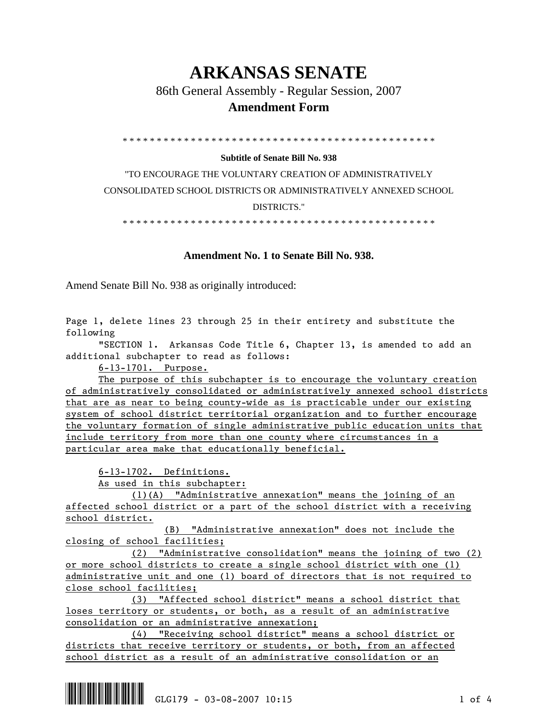# **ARKANSAS SENATE**

86th General Assembly - Regular Session, 2007

### **Amendment Form**

\* \* \* \* \* \* \* \* \* \* \* \* \* \* \* \* \* \* \* \* \* \* \* \* \* \* \* \* \* \* \* \* \* \* \* \* \* \* \* \* \* \* \* \* \* \*

#### **Subtitle of Senate Bill No. 938**

"TO ENCOURAGE THE VOLUNTARY CREATION OF ADMINISTRATIVELY CONSOLIDATED SCHOOL DISTRICTS OR ADMINISTRATIVELY ANNEXED SCHOOL DISTRICTS."

\* \* \* \* \* \* \* \* \* \* \* \* \* \* \* \* \* \* \* \* \* \* \* \* \* \* \* \* \* \* \* \* \* \* \* \* \* \* \* \* \* \* \* \* \* \*

#### **Amendment No. 1 to Senate Bill No. 938.**

Amend Senate Bill No. 938 as originally introduced:

Page 1, delete lines 23 through 25 in their entirety and substitute the following

 "SECTION 1. Arkansas Code Title 6, Chapter 13, is amended to add an additional subchapter to read as follows:

6-13-1701. Purpose.

 The purpose of this subchapter is to encourage the voluntary creation of administratively consolidated or administratively annexed school districts that are as near to being county-wide as is practicable under our existing system of school district territorial organization and to further encourage the voluntary formation of single administrative public education units that include territory from more than one county where circumstances in a particular area make that educationally beneficial.

6-13-1702. Definitions.

As used in this subchapter:

 (1)(A) "Administrative annexation" means the joining of an affected school district or a part of the school district with a receiving school district.

 (B) "Administrative annexation" does not include the closing of school facilities;

 (2) "Administrative consolidation" means the joining of two (2) or more school districts to create a single school district with one (1) administrative unit and one (1) board of directors that is not required to close school facilities;

 (3) "Affected school district" means a school district that loses territory or students, or both, as a result of an administrative consolidation or an administrative annexation;

 (4) "Receiving school district" means a school district or districts that receive territory or students, or both, from an affected school district as a result of an administrative consolidation or an

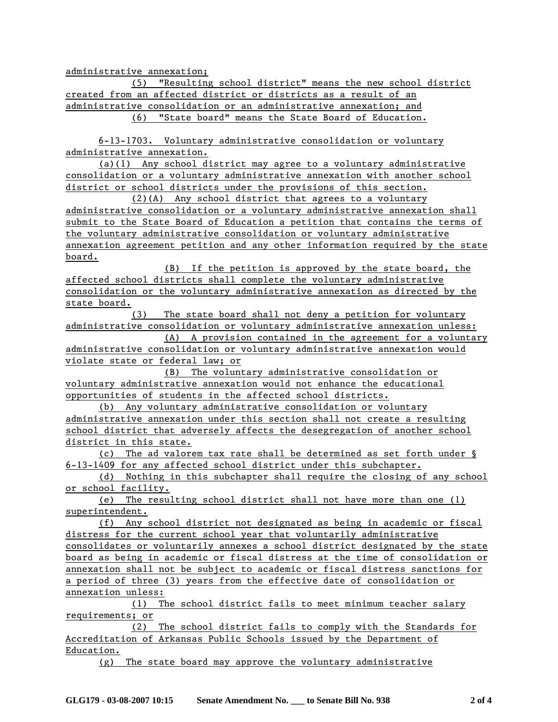administrative annexation;

 (5) "Resulting school district" means the new school district created from an affected district or districts as a result of an administrative consolidation or an administrative annexation; and (6) "State board" means the State Board of Education.

 6-13-1703. Voluntary administrative consolidation or voluntary administrative annexation.

 (a)(1) Any school district may agree to a voluntary administrative consolidation or a voluntary administrative annexation with another school district or school districts under the provisions of this section.

 (2)(A) Any school district that agrees to a voluntary administrative consolidation or a voluntary administrative annexation shall submit to the State Board of Education a petition that contains the terms of the voluntary administrative consolidation or voluntary administrative annexation agreement petition and any other information required by the state board.

 (B) If the petition is approved by the state board, the affected school districts shall complete the voluntary administrative consolidation or the voluntary administrative annexation as directed by the state board.

 (3) The state board shall not deny a petition for voluntary administrative consolidation or voluntary administrative annexation unless: (A) A provision contained in the agreement for a voluntary

administrative consolidation or voluntary administrative annexation would violate state or federal law; or

 (B) The voluntary administrative consolidation or voluntary administrative annexation would not enhance the educational opportunities of students in the affected school districts.

 (b) Any voluntary administrative consolidation or voluntary administrative annexation under this section shall not create a resulting school district that adversely affects the desegregation of another school district in this state.

 (c) The ad valorem tax rate shall be determined as set forth under § 6-13-1409 for any affected school district under this subchapter.

 (d) Nothing in this subchapter shall require the closing of any school or school facility.

 (e) The resulting school district shall not have more than one (1) superintendent.

 (f) Any school district not designated as being in academic or fiscal distress for the current school year that voluntarily administrative consolidates or voluntarily annexes a school district designated by the state board as being in academic or fiscal distress at the time of consolidation or annexation shall not be subject to academic or fiscal distress sanctions for a period of three (3) years from the effective date of consolidation or annexation unless:

 (1) The school district fails to meet minimum teacher salary requirements; or

 (2) The school district fails to comply with the Standards for Accreditation of Arkansas Public Schools issued by the Department of Education.

(g) The state board may approve the voluntary administrative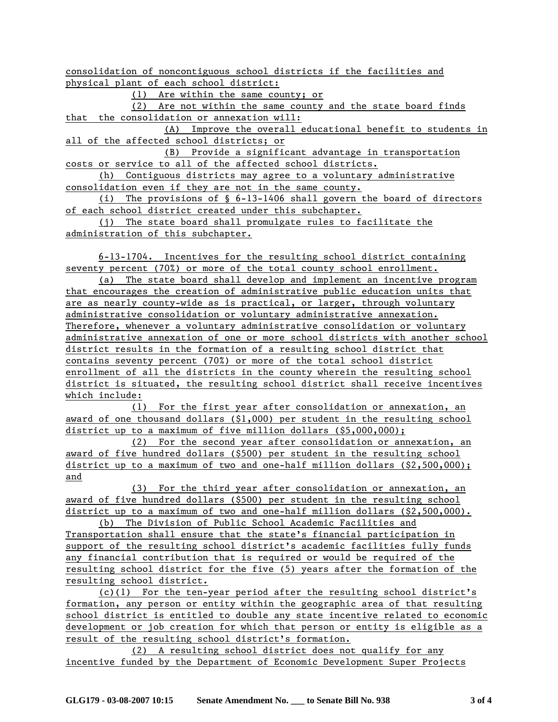consolidation of noncontiguous school districts if the facilities and physical plant of each school district:

(1) Are within the same county; or

 (2) Are not within the same county and the state board finds that the consolidation or annexation will:

 (A) Improve the overall educational benefit to students in all of the affected school districts; or

 (B) Provide a significant advantage in transportation costs or service to all of the affected school districts.

 (h) Contiguous districts may agree to a voluntary administrative consolidation even if they are not in the same county.

 (i) The provisions of § 6-13-1406 shall govern the board of directors of each school district created under this subchapter.

 (j) The state board shall promulgate rules to facilitate the administration of this subchapter.

 6-13-1704. Incentives for the resulting school district containing seventy percent (70%) or more of the total county school enrollment.

 (a) The state board shall develop and implement an incentive program that encourages the creation of administrative public education units that are as nearly county-wide as is practical, or larger, through voluntary administrative consolidation or voluntary administrative annexation. Therefore, whenever a voluntary administrative consolidation or voluntary administrative annexation of one or more school districts with another school district results in the formation of a resulting school district that contains seventy percent (70%) or more of the total school district enrollment of all the districts in the county wherein the resulting school district is situated, the resulting school district shall receive incentives which include:

 (1) For the first year after consolidation or annexation, an award of one thousand dollars (\$1,000) per student in the resulting school district up to a maximum of five million dollars (\$5,000,000);

 (2) For the second year after consolidation or annexation, an award of five hundred dollars (\$500) per student in the resulting school district up to a maximum of two and one-half million dollars (\$2,500,000); and

 (3) For the third year after consolidation or annexation, an award of five hundred dollars (\$500) per student in the resulting school district up to a maximum of two and one-half million dollars (\$2,500,000).

 (b) The Division of Public School Academic Facilities and Transportation shall ensure that the state's financial participation in support of the resulting school district's academic facilities fully funds any financial contribution that is required or would be required of the resulting school district for the five (5) years after the formation of the resulting school district.

 (c)(1) For the ten-year period after the resulting school district's formation, any person or entity within the geographic area of that resulting school district is entitled to double any state incentive related to economic development or job creation for which that person or entity is eligible as a result of the resulting school district's formation.

 (2) A resulting school district does not qualify for any incentive funded by the Department of Economic Development Super Projects